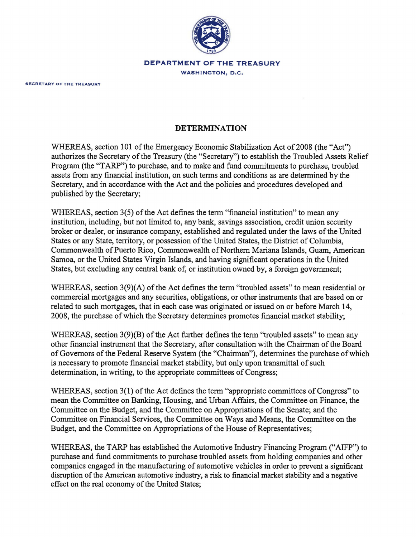

## **DEPARTMENT OF THE TREASURY**

WASHINGTON, D.C.

## **DETERMINATION**

WHEREAS, section 101 of the Emergency Economic Stabilization Act of 2008 (the "Act") authorizes the Secretary of the Treasury (the "Secretary") to establish the Troubled Assets Relief Program (the "TARP") to purchase, and to make and fund commitments to purchase, troubled assets from any financial institution, on such terms and conditions as are determined by the Secretary, and in accordance with the Act and the policies and procedures developed and published by the Secretary;

WHEREAS, section  $3(5)$  of the Act defines the term "financial institution" to mean any institution, including, but not limited to, any bank, savings association, credit union security broker or dealer, or insurance company, established and regulated under the laws of the United States or any State, territory, or possession of the United States, the District of Columbia, Commonwealth of Puerto Rico, Commonwealth of Northern Mariana Islands, Guam, American Samoa, or the United States Virgin Islands, and having significant operations in the United States, but excluding any central bank of, or institution owned by, a foreign government;

WHEREAS, section  $3(9)(A)$  of the Act defines the term "troubled assets" to mean residential or commercial mortgages and any securities, obligations, or other instruments that are based on or related to such mortgages, that in each case was originated or issued on or before March 14, 2008, the purchase of which the Secretary determines promotes financial market stability;

WHEREAS, section  $3(9)(B)$  of the Act further defines the term "troubled assets" to mean any other financial instrument that the Secretary, after consultation with the Chairman of the Board of Governors of the Federal Reserve System (the "Chairman"), determines the purchase of which is necessary to promote financial market stability, but only upon transmittal of such determination, in writing, to the appropriate committees of Congress;

WHEREAS, section 3(1) of the Act defines the term "appropriate committees of Congress" to mean the Committee on Banking, Housing, and Urban Affairs, the Committee on Finance, the Committee on the Budget, and the Committee on Appropriations of the Senate; and the Committee on Financial Services, the Committee on Ways and Means, the Committee on the Budget, and the Committee on Appropriations of the House of Representatives;

WHEREAS, the TARP has established the Automotive Industry Financing Program ("AIFP") to purchase and fund commitments to purchase troubled assets from holding companies and other companies engaged in the manufacturing of automotive vehicles in order to prevent a significant disruption of the American automotive industry, a risk to financial market stability and a negative effect on the real economy of the United States;